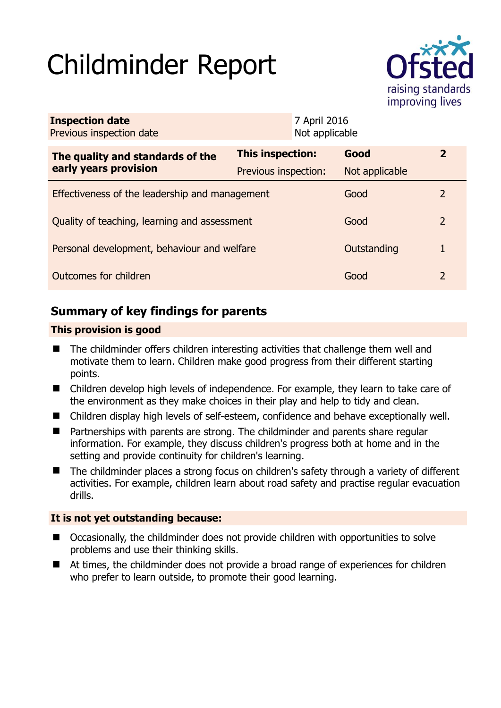# Childminder Report



| <b>Inspection date</b><br>Previous inspection date        |                         | 7 April 2016<br>Not applicable |                |               |
|-----------------------------------------------------------|-------------------------|--------------------------------|----------------|---------------|
| The quality and standards of the<br>early years provision | <b>This inspection:</b> |                                | Good           | $\mathbf{z}$  |
|                                                           | Previous inspection:    |                                | Not applicable |               |
| Effectiveness of the leadership and management            |                         |                                | Good           | $\mathcal{L}$ |
| Quality of teaching, learning and assessment              |                         |                                | Good           | $\mathcal{P}$ |
| Personal development, behaviour and welfare               |                         |                                | Outstanding    | 1             |
| Outcomes for children                                     |                         |                                | Good           | 2             |

# **Summary of key findings for parents**

## **This provision is good**

- The childminder offers children interesting activities that challenge them well and motivate them to learn. Children make good progress from their different starting points.
- Children develop high levels of independence. For example, they learn to take care of the environment as they make choices in their play and help to tidy and clean.
- Children display high levels of self-esteem, confidence and behave exceptionally well.
- Partnerships with parents are strong. The childminder and parents share regular information. For example, they discuss children's progress both at home and in the setting and provide continuity for children's learning.
- The childminder places a strong focus on children's safety through a variety of different activities. For example, children learn about road safety and practise regular evacuation drills.

## **It is not yet outstanding because:**

- Occasionally, the childminder does not provide children with opportunities to solve problems and use their thinking skills.
- At times, the childminder does not provide a broad range of experiences for children who prefer to learn outside, to promote their good learning.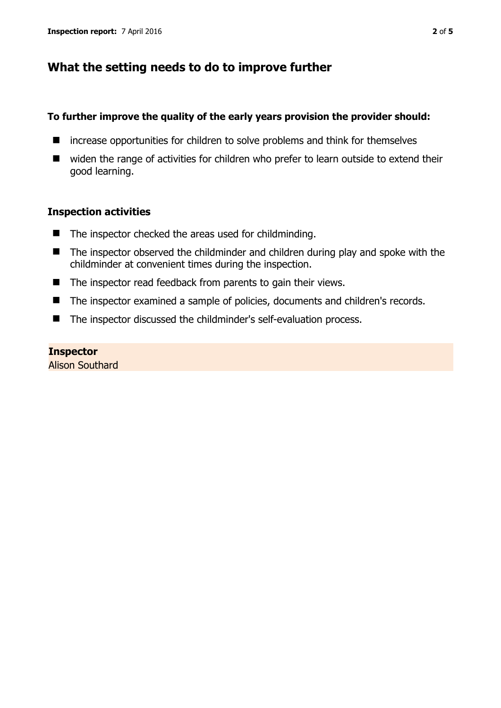# **What the setting needs to do to improve further**

#### **To further improve the quality of the early years provision the provider should:**

- $\blacksquare$  increase opportunities for children to solve problems and think for themselves
- widen the range of activities for children who prefer to learn outside to extend their good learning.

#### **Inspection activities**

- $\blacksquare$  The inspector checked the areas used for childminding.
- The inspector observed the childminder and children during play and spoke with the childminder at convenient times during the inspection.
- $\blacksquare$  The inspector read feedback from parents to gain their views.
- The inspector examined a sample of policies, documents and children's records.
- The inspector discussed the childminder's self-evaluation process.

#### **Inspector**

Alison Southard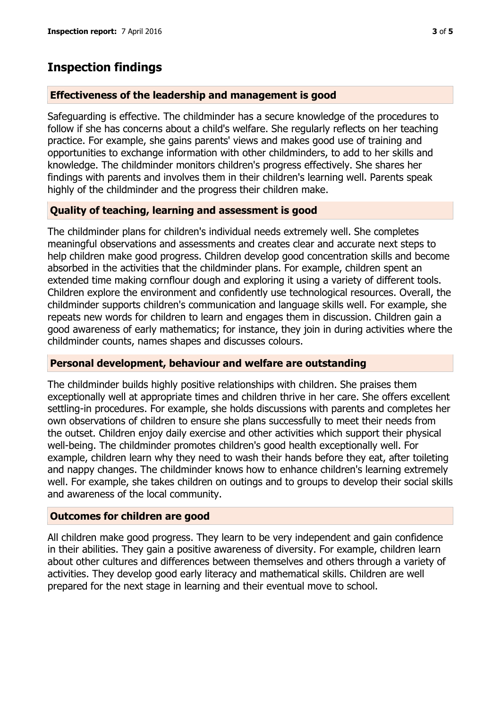# **Inspection findings**

### **Effectiveness of the leadership and management is good**

Safeguarding is effective. The childminder has a secure knowledge of the procedures to follow if she has concerns about a child's welfare. She regularly reflects on her teaching practice. For example, she gains parents' views and makes good use of training and opportunities to exchange information with other childminders, to add to her skills and knowledge. The childminder monitors children's progress effectively. She shares her findings with parents and involves them in their children's learning well. Parents speak highly of the childminder and the progress their children make.

## **Quality of teaching, learning and assessment is good**

The childminder plans for children's individual needs extremely well. She completes meaningful observations and assessments and creates clear and accurate next steps to help children make good progress. Children develop good concentration skills and become absorbed in the activities that the childminder plans. For example, children spent an extended time making cornflour dough and exploring it using a variety of different tools. Children explore the environment and confidently use technological resources. Overall, the childminder supports children's communication and language skills well. For example, she repeats new words for children to learn and engages them in discussion. Children gain a good awareness of early mathematics; for instance, they join in during activities where the childminder counts, names shapes and discusses colours.

#### **Personal development, behaviour and welfare are outstanding**

The childminder builds highly positive relationships with children. She praises them exceptionally well at appropriate times and children thrive in her care. She offers excellent settling-in procedures. For example, she holds discussions with parents and completes her own observations of children to ensure she plans successfully to meet their needs from the outset. Children enjoy daily exercise and other activities which support their physical well-being. The childminder promotes children's good health exceptionally well. For example, children learn why they need to wash their hands before they eat, after toileting and nappy changes. The childminder knows how to enhance children's learning extremely well. For example, she takes children on outings and to groups to develop their social skills and awareness of the local community.

## **Outcomes for children are good**

All children make good progress. They learn to be very independent and gain confidence in their abilities. They gain a positive awareness of diversity. For example, children learn about other cultures and differences between themselves and others through a variety of activities. They develop good early literacy and mathematical skills. Children are well prepared for the next stage in learning and their eventual move to school.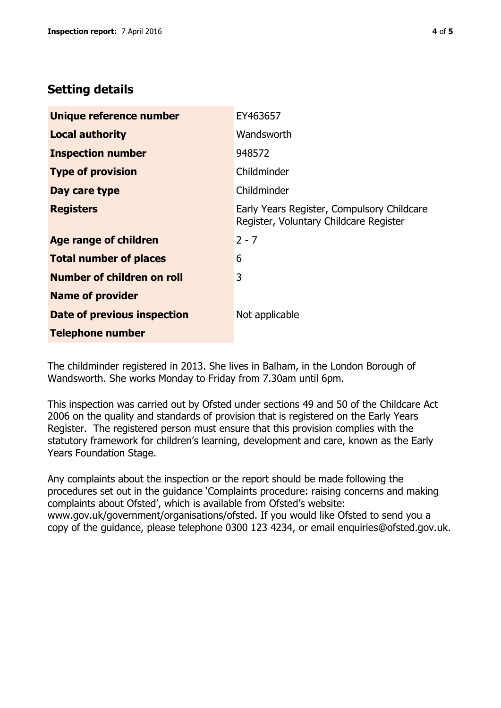# **Setting details**

| Unique reference number       | EY463657                                                                             |  |
|-------------------------------|--------------------------------------------------------------------------------------|--|
| <b>Local authority</b>        | Wandsworth                                                                           |  |
| <b>Inspection number</b>      | 948572                                                                               |  |
| <b>Type of provision</b>      | Childminder                                                                          |  |
| Day care type                 | Childminder                                                                          |  |
| <b>Registers</b>              | Early Years Register, Compulsory Childcare<br>Register, Voluntary Childcare Register |  |
| Age range of children         | $2 - 7$                                                                              |  |
| <b>Total number of places</b> | 6                                                                                    |  |
| Number of children on roll    | 3                                                                                    |  |
| <b>Name of provider</b>       |                                                                                      |  |
| Date of previous inspection   | Not applicable                                                                       |  |
| <b>Telephone number</b>       |                                                                                      |  |

The childminder registered in 2013. She lives in Balham, in the London Borough of Wandsworth. She works Monday to Friday from 7.30am until 6pm.

This inspection was carried out by Ofsted under sections 49 and 50 of the Childcare Act 2006 on the quality and standards of provision that is registered on the Early Years Register. The registered person must ensure that this provision complies with the statutory framework for children's learning, development and care, known as the Early Years Foundation Stage.

Any complaints about the inspection or the report should be made following the procedures set out in the guidance 'Complaints procedure: raising concerns and making complaints about Ofsted', which is available from Ofsted's website: www.gov.uk/government/organisations/ofsted. If you would like Ofsted to send you a copy of the guidance, please telephone 0300 123 4234, or email enquiries@ofsted.gov.uk.